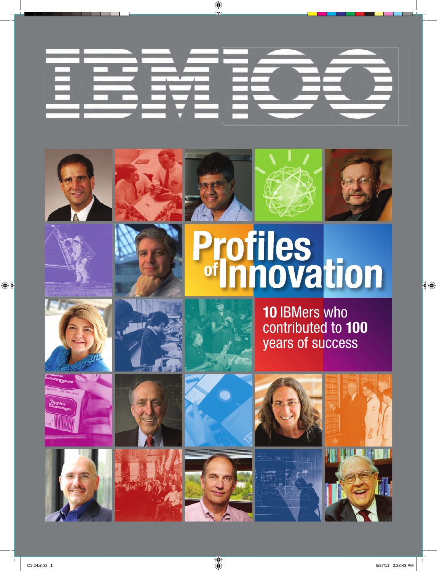

















**10** IBMers who contributed to **100** years of success





















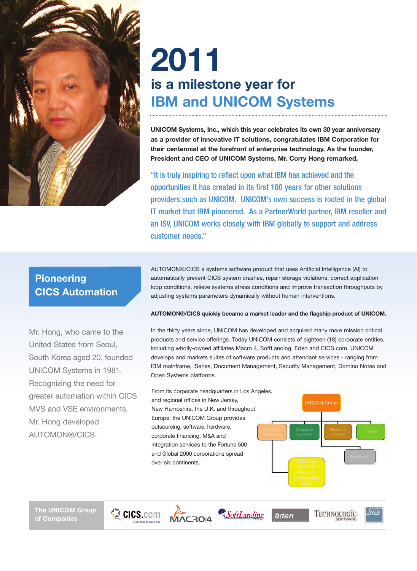

# **2011 is a milestone year for IBM and UNICOM Systems**

**UNICOM Systems, Inc., which this year celebrates its own 30 year anniversary as a provider of innovative IT solutions, congratulates IBM Corporation for their centennial at the forefront of enterprise technology. As the founder, President and CEO of UNICOM Systems, Mr. Corry Hong remarked,**

"It is truly inspiring to reflect upon what IBM has achieved and the opportunities it has created in its first 100 years for other solutions providers such as UNICOM. UNICOM's own success is rooted in the global IT market that IBM pioneered. As a PartnerWorld partner, IBM reseller and an ISV, UNICOM works closely with IBM globally to support and address customer needs."

# **Pioneering CICS Automation**

Mr. Hong, who came to the United States from Seoul, South Korea aged 20, founded UNICOM Systems in 1981. Recognizing the need for greater automation within CICS MVS and VSE environments, Mr. Hong developed AUTOMON®/CICS.

AUTOMON®/CICS a systems software product that uses Artificial Intelligence (AI) to automatically prevent CICS system crashes, repair storage violations, correct application loop conditions, relieve systems stress conditions and improve transaction throughputs by adjusting systems parameters dynamically without human interventions.

## **AUTOMON®/CICS quickly became a market leader and the flagship product of UNICOM.**

In the thirty years since, UNICOM has developed and acquired many more mission critical products and service offerings. Today UNICOM consists of eighteen (18) corporate entities, including wholly-owned affiliates Macro 4, SoftLanding, Eden and CICS.com. UNICOM develops and markets suites of software products and attendant services - ranging from IBM mainframe, iSeries, Document Management, Security Management, Domino Notes and Open Systems platforms.

eden

From its corporate headquarters in Los Angeles, and regional offices in New Jersey, New Hampshire, the U.K. and throughout Europe, the UNICOM Group provides outsourcing, software, hardware, corporate financing, M&A and integration services to the Fortune 500 and Global 2000 corporations spread over six continents.

CICS.com MACRO14 SoftLanding



TECHNOLOGIC

**The UNICOM Group of Companies**